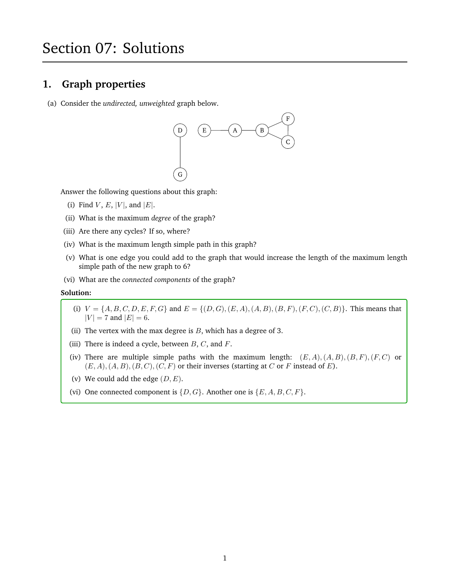# Section 07: Solutions

### **1. Graph properties**

(a) Consider the *undirected, unweighted* graph below.



Answer the following questions about this graph:

- (i) Find  $V$ ,  $E$ ,  $|V|$ , and  $|E|$ .
- (ii) What is the maximum *degree* of the graph?
- (iii) Are there any cycles? If so, where?
- (iv) What is the maximum length simple path in this graph?
- (v) What is one edge you could add to the graph that would increase the length of the maximum length simple path of the new graph to 6?
- (vi) What are the *connected components* of the graph?

#### **Solution:**

- (i)  $V = \{A, B, C, D, E, F, G\}$  and  $E = \{(D, G), (E, A), (A, B), (B, F), (F, C), (C, B)\}.$  This means that  $|V| = 7$  and  $|E| = 6$ .
- (ii) The vertex with the max degree is  $B$ , which has a degree of 3.
- (iii) There is indeed a cycle, between  $B, C$ , and  $F$ .
- (iv) There are multiple simple paths with the maximum length:  $(E, A), (A, B), (B, F), (F, C)$  or  $(E, A), (A, B), (B, C), (C, F)$  or their inverses (starting at C or F instead of E).
- (v) We could add the edge  $(D, E)$ .
- (vi) One connected component is  $\{D, G\}$ . Another one is  $\{E, A, B, C, F\}$ .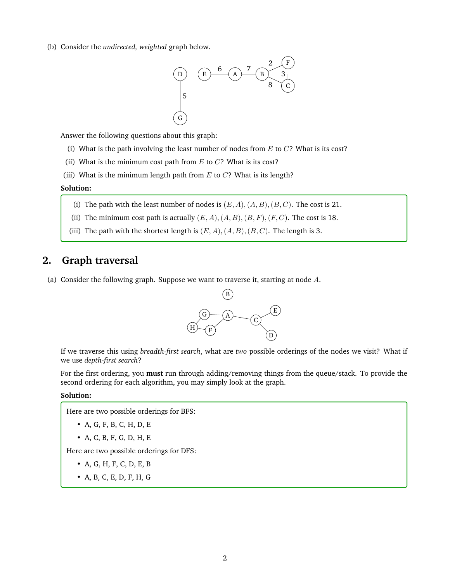(b) Consider the *undirected, weighted* graph below.



Answer the following questions about this graph:

- (i) What is the path involving the least number of nodes from  $E$  to  $C$ ? What is its cost?
- (ii) What is the minimum cost path from  $E$  to  $C$ ? What is its cost?
- (iii) What is the minimum length path from  $E$  to  $C$ ? What is its length?

#### **Solution:**

- (i) The path with the least number of nodes is  $(E, A), (A, B), (B, C)$ . The cost is 21.
- (ii) The minimum cost path is actually  $(E, A), (A, B), (B, F), (F, C)$ . The cost is 18.
- (iii) The path with the shortest length is  $(E, A), (A, B), (B, C)$ . The length is 3.

### **2. Graph traversal**

(a) Consider the following graph. Suppose we want to traverse it, starting at node A.



If we traverse this using *breadth-first search*, what are *two* possible orderings of the nodes we visit? What if we use *depth-first search*?

For the first ordering, you **must** run through adding/removing things from the queue/stack. To provide the second ordering for each algorithm, you may simply look at the graph.

#### **Solution:**

Here are two possible orderings for BFS:

- A, G, F, B, C, H, D, E
- A, C, B, F, G, D, H, E

Here are two possible orderings for DFS:

- A, G, H, F, C, D, E, B
- A, B, C, E, D, F, H, G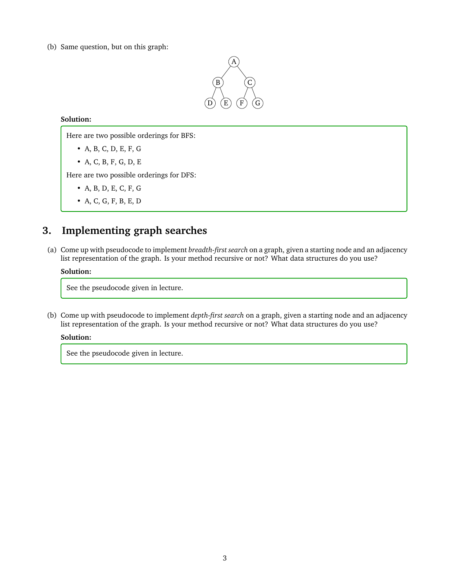(b) Same question, but on this graph:



#### **Solution:**

Here are two possible orderings for BFS:

- A, B, C, D, E, F, G
- A, C, B, F, G, D, E

Here are two possible orderings for DFS:

- A, B, D, E, C, F, G
- A, C, G, F, B, E, D

### **3. Implementing graph searches**

(a) Come up with pseudocode to implement *breadth-first search* on a graph, given a starting node and an adjacency list representation of the graph. Is your method recursive or not? What data structures do you use?

#### **Solution:**

See the pseudocode given in lecture.

(b) Come up with pseudocode to implement *depth-first search* on a graph, given a starting node and an adjacency list representation of the graph. Is your method recursive or not? What data structures do you use?

#### **Solution:**

See the pseudocode given in lecture.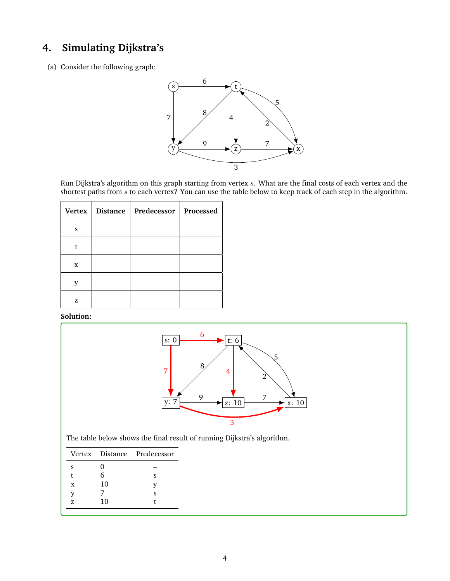# **4. Simulating Dijkstra's**

(a) Consider the following graph:



Run Dijkstra's algorithm on this graph starting from vertex s. What are the final costs of each vertex and the shortest paths from s to each vertex? You can use the table below to keep track of each step in the algorithm.

|   | Vertex   Distance   Predecessor | Processed |
|---|---------------------------------|-----------|
| S |                                 |           |
|   |                                 |           |
| X |                                 |           |
|   |                                 |           |
| z |                                 |           |

**Solution:**



The table below shows the final result of running Dijkstra's algorithm.

|    |    | Vertex Distance Predecessor |
|----|----|-----------------------------|
| s  | 0  |                             |
| t  | 6  | s                           |
| X  | 10 |                             |
| v  |    | ς                           |
| 7. | 10 |                             |
|    |    |                             |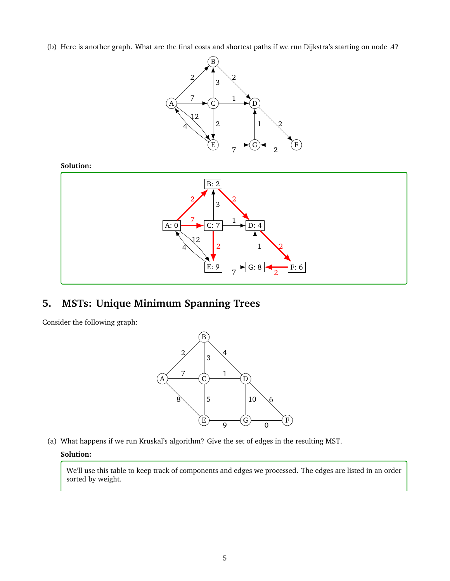(b) Here is another graph. What are the final costs and shortest paths if we run Dijkstra's starting on node A?



#### **Solution:**



# **5. MSTs: Unique Minimum Spanning Trees**

Consider the following graph:



(a) What happens if we run Kruskal's algorithm? Give the set of edges in the resulting MST.

#### **Solution:**

We'll use this table to keep track of components and edges we processed. The edges are listed in an order sorted by weight.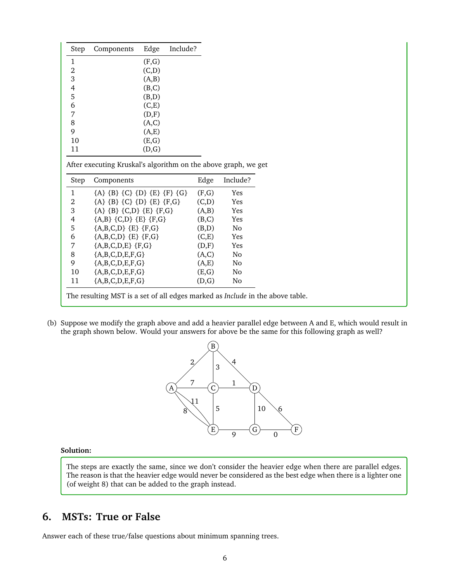| Step | Components | Edge   | Include? |
|------|------------|--------|----------|
| 1    |            | (F,G)  |          |
| 2    |            | (C,D)  |          |
| 3    |            | (A,B)  |          |
| 4    |            | (B,C)  |          |
| 5    |            | (B,D)  |          |
| 6    |            | (C, E) |          |
| 7    |            | (D,F)  |          |
| 8    |            | (A,C)  |          |
| 9    |            | (A,E)  |          |
| 10   |            | (E,G)  |          |
| 11   |            | (D,G)  |          |

After executing Kruskal's algorithm on the above graph, we get

| Step | Components                    | Edge  | Include?   |
|------|-------------------------------|-------|------------|
| 1    | ${A} {B} {C} {D} {E} {F} {G}$ | (F,G) | Yes        |
| 2    | ${A} {B} {C} {D} {E} {F,G}$   | (C,D) | <b>Yes</b> |
| 3    | ${A} {B} {C,D} {E} {F,G}$     | (A,B) | Yes        |
| 4    | ${A,B} {C,D} {E} {F,G}$       | (B,C) | Yes        |
| 5    | ${A,B,C,D}$ ${E}$ ${F,G}$     | (B,D) | Nο         |
| 6    | ${A,B,C,D}$ ${E}$ ${F,G}$     | (C,E) | Yes        |
| 7    | ${A,B,C,D,E}$ {F,G}           | (D,F) | Yes        |
| 8    | ${A,B,C,D,E,F,G}$             | (A,C) | Nο         |
| 9    | ${A,B,C,D,E,F,G}$             | (A,E) | Nο         |
| 10   | ${A,B,C,D,E,F,G}$             | (E,G) | Nο         |
| 11   | ${A,B,C,D,E,F,G}$             | (D,G) | Nο         |

The resulting MST is a set of all edges marked as *Include* in the above table.

(b) Suppose we modify the graph above and add a heavier parallel edge between A and E, which would result in the graph shown below. Would your answers for above be the same for this following graph as well?



#### **Solution:**

The steps are exactly the same, since we don't consider the heavier edge when there are parallel edges. The reason is that the heavier edge would never be considered as the best edge when there is a lighter one (of weight 8) that can be added to the graph instead.

### **6. MSTs: True or False**

Answer each of these true/false questions about minimum spanning trees.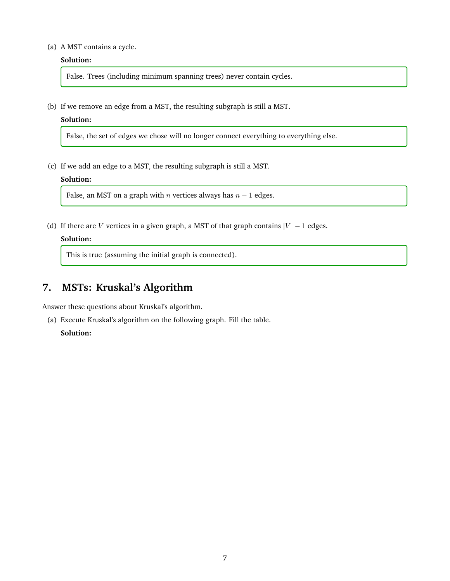#### (a) A MST contains a cycle.

#### **Solution:**

False. Trees (including minimum spanning trees) never contain cycles.

(b) If we remove an edge from a MST, the resulting subgraph is still a MST.

#### **Solution:**

False, the set of edges we chose will no longer connect everything to everything else.

(c) If we add an edge to a MST, the resulting subgraph is still a MST.

#### **Solution:**

False, an MST on a graph with  $n$  vertices always has  $n - 1$  edges.

(d) If there are V vertices in a given graph, a MST of that graph contains  $|V| - 1$  edges.

#### **Solution:**

This is true (assuming the initial graph is connected).

### **7. MSTs: Kruskal's Algorithm**

Answer these questions about Kruskal's algorithm.

(a) Execute Kruskal's algorithm on the following graph. Fill the table. **Solution:**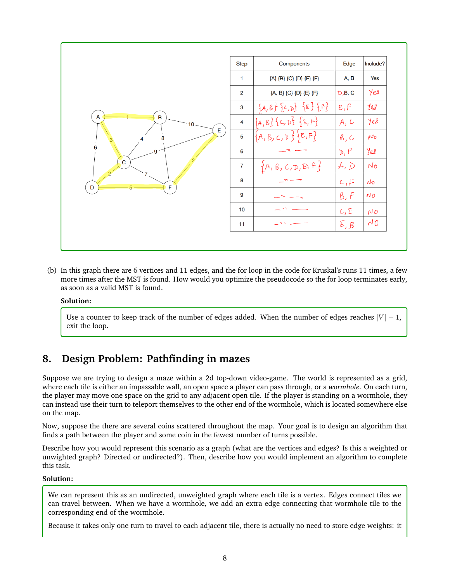|                                                                                              | <b>Step</b>    | Components                  | Edge          | Include?          |
|----------------------------------------------------------------------------------------------|----------------|-----------------------------|---------------|-------------------|
| $\overline{\mathsf{A}}$<br>$\mathbf B$<br>10<br>E<br>8<br>6<br>9<br>$\overline{C}$<br>F<br>D | $\mathbf{1}$   | {A} {B} {C} {D} {E} {F}     | A, B          | Yes               |
|                                                                                              | $\overline{2}$ | ${A, B} {C} {D} {E} {F}$    | $D$ $B$ , C   | Yes               |
|                                                                                              | 3              | ${A,B}$ ${C,D}$ ${E}$ ${F}$ | E, F          | yes               |
|                                                                                              | 4              | ${A,B}$ { $C, D$ } ${E,F}$  | A, C          | Yes               |
|                                                                                              | 5              | E,F<br>$\{A, B, C, D\}$     | $\beta$ , $C$ | $N_{\mathcal{D}}$ |
|                                                                                              | 6              |                             | D, F          | Yes               |
|                                                                                              | $\overline{7}$ | ${A, B, C, D, E, F}$        | A, D          | $N_{\sigma}$      |
|                                                                                              | 8              |                             | c, F          | $N_{\mathcal{D}}$ |
|                                                                                              | 9              |                             | B, F          | NO                |
|                                                                                              | 10             |                             | C, E          | NO                |
|                                                                                              | 11             | $\sim$ M                    | E, B          | $\sim 0$          |

(b) In this graph there are 6 vertices and 11 edges, and the for loop in the code for Kruskal's runs 11 times, a few more times after the MST is found. How would you optimize the pseudocode so the for loop terminates early, as soon as a valid MST is found.

#### **Solution:**

Use a counter to keep track of the number of edges added. When the number of edges reaches  $|V| - 1$ , exit the loop.

## **8. Design Problem: Pathfinding in mazes**

Suppose we are trying to design a maze within a 2d top-down video-game. The world is represented as a grid, where each tile is either an impassable wall, an open space a player can pass through, or a *wormhole*. On each turn, the player may move one space on the grid to any adjacent open tile. If the player is standing on a wormhole, they can instead use their turn to teleport themselves to the other end of the wormhole, which is located somewhere else on the map.

Now, suppose the there are several coins scattered throughout the map. Your goal is to design an algorithm that finds a path between the player and some coin in the fewest number of turns possible.

Describe how you would represent this scenario as a graph (what are the vertices and edges? Is this a weighted or unwighted graph? Directed or undirected?). Then, describe how you would implement an algorithm to complete this task.

#### **Solution:**

We can represent this as an undirected, unweighted graph where each tile is a vertex. Edges connect tiles we can travel between. When we have a wormhole, we add an extra edge connecting that wormhole tile to the corresponding end of the wormhole.

Because it takes only one turn to travel to each adjacent tile, there is actually no need to store edge weights: it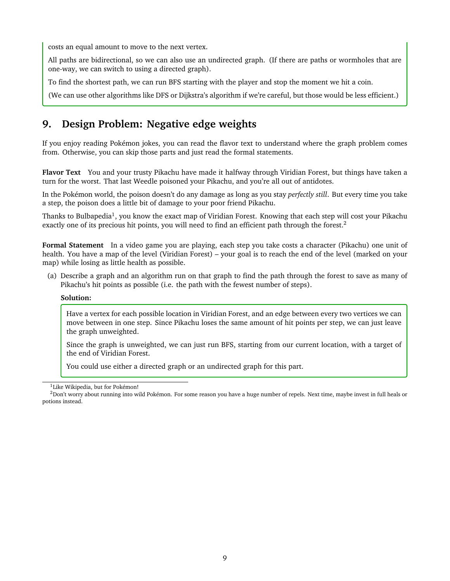costs an equal amount to move to the next vertex.

All paths are bidirectional, so we can also use an undirected graph. (If there are paths or wormholes that are one-way, we can switch to using a directed graph).

To find the shortest path, we can run BFS starting with the player and stop the moment we hit a coin.

(We can use other algorithms like DFS or Dijkstra's algorithm if we're careful, but those would be less efficient.)

## **9. Design Problem: Negative edge weights**

If you enjoy reading Pokémon jokes, you can read the flavor text to understand where the graph problem comes from. Otherwise, you can skip those parts and just read the formal statements.

**Flavor Text** You and your trusty Pikachu have made it halfway through Viridian Forest, but things have taken a turn for the worst. That last Weedle poisoned your Pikachu, and you're all out of antidotes.

In the Pokémon world, the poison doesn't do any damage as long as you stay *perfectly still*. But every time you take a step, the poison does a little bit of damage to your poor friend Pikachu.

Thanks to Bulbapedia<sup>[1](#page-8-0)</sup>, you know the exact map of Viridian Forest. Knowing that each step will cost your Pikachu exactly one of its precious hit points, you will need to find an efficient path through the forest.[2](#page-8-1)

**Formal Statement** In a video game you are playing, each step you take costs a character (Pikachu) one unit of health. You have a map of the level (Viridian Forest) – your goal is to reach the end of the level (marked on your map) while losing as little health as possible.

(a) Describe a graph and an algorithm run on that graph to find the path through the forest to save as many of Pikachu's hit points as possible (i.e. the path with the fewest number of steps).

#### **Solution:**

Have a vertex for each possible location in Viridian Forest, and an edge between every two vertices we can move between in one step. Since Pikachu loses the same amount of hit points per step, we can just leave the graph unweighted.

Since the graph is unweighted, we can just run BFS, starting from our current location, with a target of the end of Viridian Forest.

You could use either a directed graph or an undirected graph for this part.

<span id="page-8-1"></span><span id="page-8-0"></span><sup>&</sup>lt;sup>1</sup>Like Wikipedia, but for Pokémon!

 $2$ Don't worry about running into wild Pokémon. For some reason you have a huge number of repels. Next time, maybe invest in full heals or potions instead.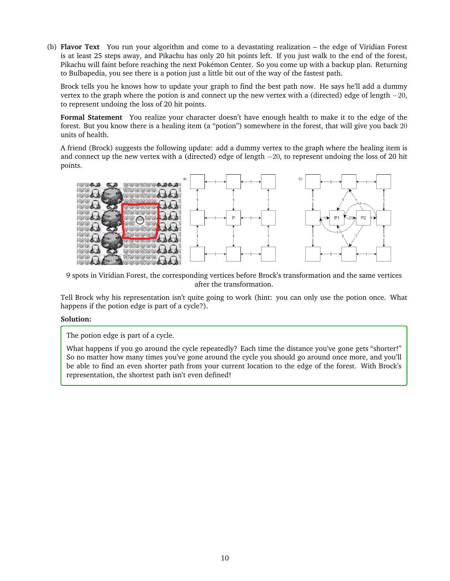(b) **Flavor Text** You run your algorithm and come to a devastating realization – the edge of Viridian Forest is at least 25 steps away, and Pikachu has only 20 hit points left. If you just walk to the end of the forest, Pikachu will faint before reaching the next Pokémon Center. So you come up with a backup plan. Returning to Bulbapedia, you see there is a potion just a little bit out of the way of the fastest path.

Brock tells you he knows how to update your graph to find the best path now. He says he'll add a dummy vertex to the graph where the potion is and connect up the new vertex with a (directed) edge of length  $-20$ , to represent undoing the loss of 20 hit points.

**Formal Statement** You realize your character doesn't have enough health to make it to the edge of the forest. But you know there is a healing item (a "potion") somewhere in the forest, that will give you back 20 units of health.

A friend (Brock) suggests the following update: add a dummy vertex to the graph where the healing item is and connect up the new vertex with a (directed) edge of length −20, to represent undoing the loss of 20 hit points.



9 spots in Viridian Forest, the corresponding vertices before Brock's transformation and the same vertices after the transformation.

Tell Brock why his representation isn't quite going to work (hint: you can only use the potion once. What happens if the potion edge is part of a cycle?).

#### **Solution:**

The potion edge is part of a cycle.

What happens if you go around the cycle repeatedly? Each time the distance you've gone gets "shorter!" So no matter how many times you've gone around the cycle you should go around once more, and you'll be able to find an even shorter path from your current location to the edge of the forest. With Brock's representation, the shortest path isn't even defined!